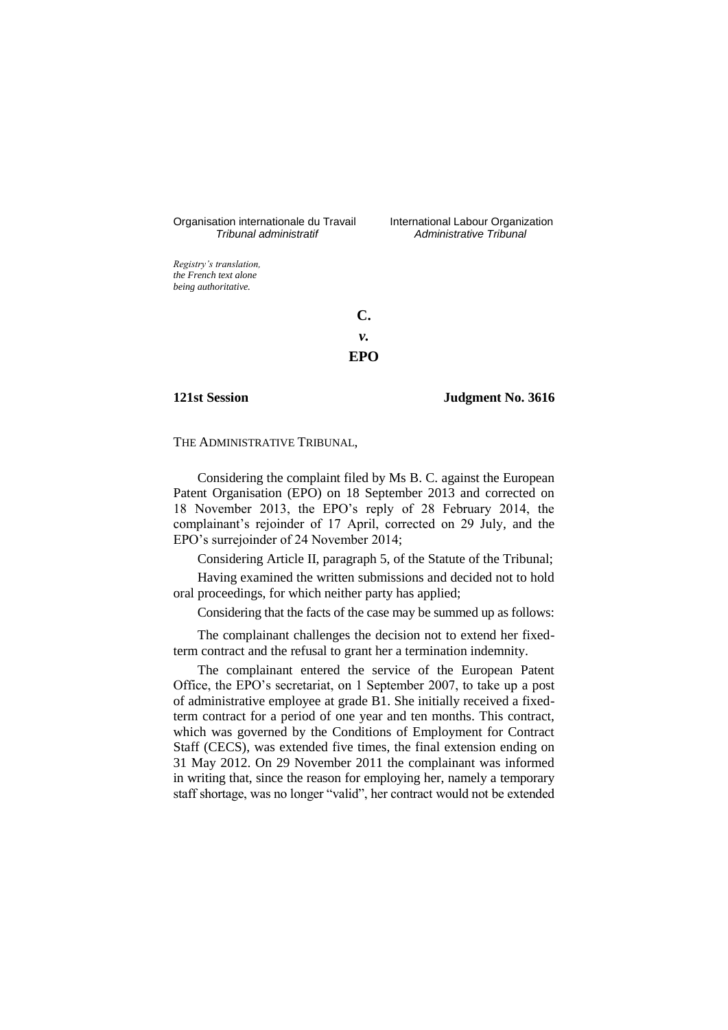# Organisation internationale du Travail International Labour Organization<br>*Tribunal administratif Administrative Tribunal*

*Tribunal administratif Administrative Tribunal*

*Registry's translation, the French text alone being authoritative.*

> **C.** *v.* **EPO**

#### **121st Session Judgment No. 3616**

#### THE ADMINISTRATIVE TRIBUNAL,

Considering the complaint filed by Ms B. C. against the European Patent Organisation (EPO) on 18 September 2013 and corrected on 18 November 2013, the EPO's reply of 28 February 2014, the complainant's rejoinder of 17 April, corrected on 29 July, and the EPO's surrejoinder of 24 November 2014;

Considering Article II, paragraph 5, of the Statute of the Tribunal;

Having examined the written submissions and decided not to hold oral proceedings, for which neither party has applied;

Considering that the facts of the case may be summed up as follows:

The complainant challenges the decision not to extend her fixedterm contract and the refusal to grant her a termination indemnity.

The complainant entered the service of the European Patent Office, the EPO's secretariat, on 1 September 2007, to take up a post of administrative employee at grade B1. She initially received a fixedterm contract for a period of one year and ten months. This contract, which was governed by the Conditions of Employment for Contract Staff (CECS), was extended five times, the final extension ending on 31 May 2012. On 29 November 2011 the complainant was informed in writing that, since the reason for employing her, namely a temporary staff shortage, was no longer "valid", her contract would not be extended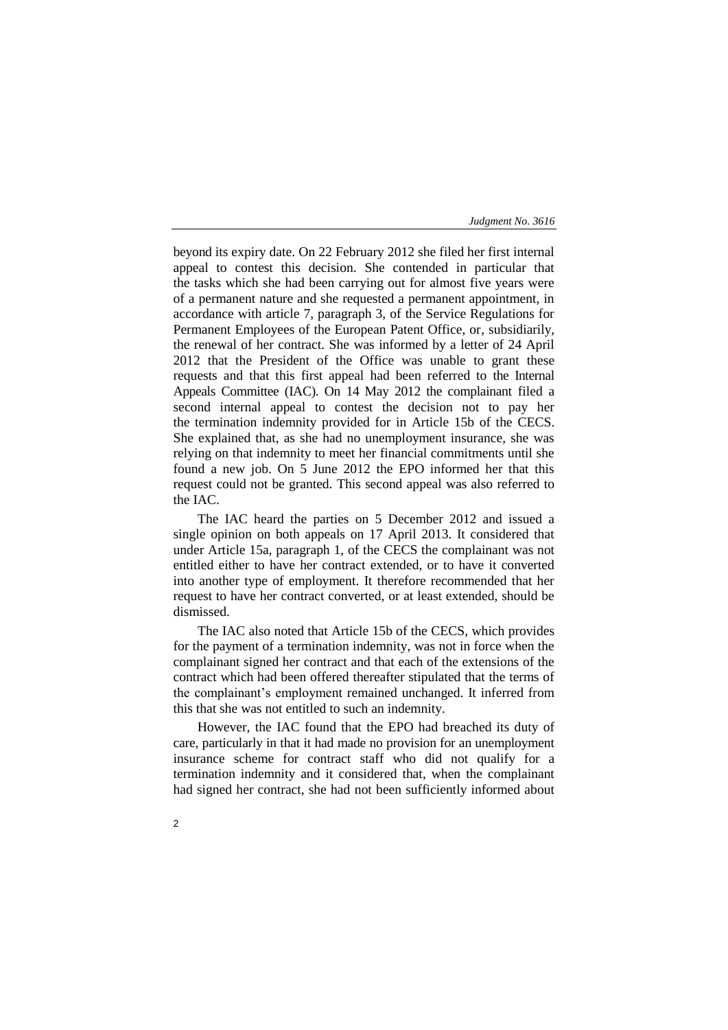beyond its expiry date. On 22 February 2012 she filed her first internal appeal to contest this decision. She contended in particular that the tasks which she had been carrying out for almost five years were of a permanent nature and she requested a permanent appointment, in accordance with article 7, paragraph 3, of the Service Regulations for Permanent Employees of the European Patent Office, or, subsidiarily, the renewal of her contract. She was informed by a letter of 24 April 2012 that the President of the Office was unable to grant these requests and that this first appeal had been referred to the Internal Appeals Committee (IAC). On 14 May 2012 the complainant filed a second internal appeal to contest the decision not to pay her the termination indemnity provided for in Article 15b of the CECS. She explained that, as she had no unemployment insurance, she was relying on that indemnity to meet her financial commitments until she found a new job. On 5 June 2012 the EPO informed her that this request could not be granted. This second appeal was also referred to the IAC.

The IAC heard the parties on 5 December 2012 and issued a single opinion on both appeals on 17 April 2013. It considered that under Article 15a, paragraph 1, of the CECS the complainant was not entitled either to have her contract extended, or to have it converted into another type of employment. It therefore recommended that her request to have her contract converted, or at least extended, should be dismissed.

The IAC also noted that Article 15b of the CECS, which provides for the payment of a termination indemnity, was not in force when the complainant signed her contract and that each of the extensions of the contract which had been offered thereafter stipulated that the terms of the complainant's employment remained unchanged. It inferred from this that she was not entitled to such an indemnity.

However, the IAC found that the EPO had breached its duty of care, particularly in that it had made no provision for an unemployment insurance scheme for contract staff who did not qualify for a termination indemnity and it considered that, when the complainant had signed her contract, she had not been sufficiently informed about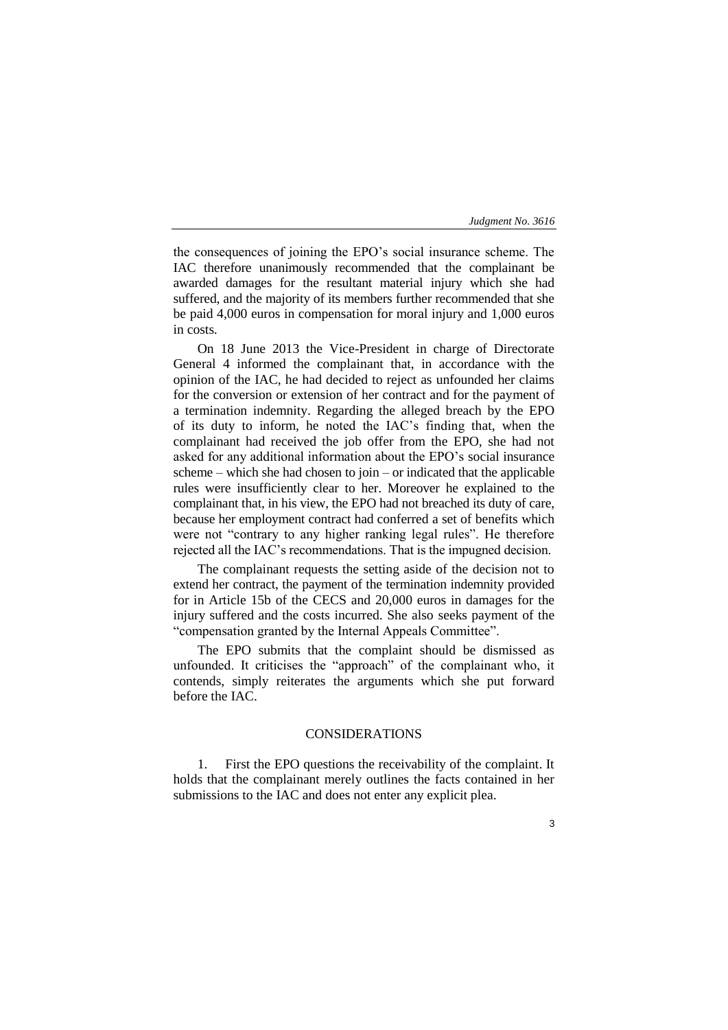the consequences of joining the EPO's social insurance scheme. The IAC therefore unanimously recommended that the complainant be awarded damages for the resultant material injury which she had suffered, and the majority of its members further recommended that she be paid 4,000 euros in compensation for moral injury and 1,000 euros in costs.

On 18 June 2013 the Vice-President in charge of Directorate General 4 informed the complainant that, in accordance with the opinion of the IAC, he had decided to reject as unfounded her claims for the conversion or extension of her contract and for the payment of a termination indemnity. Regarding the alleged breach by the EPO of its duty to inform, he noted the IAC's finding that, when the complainant had received the job offer from the EPO, she had not asked for any additional information about the EPO's social insurance scheme – which she had chosen to join – or indicated that the applicable rules were insufficiently clear to her. Moreover he explained to the complainant that, in his view, the EPO had not breached its duty of care, because her employment contract had conferred a set of benefits which were not "contrary to any higher ranking legal rules". He therefore rejected all the IAC's recommendations. That is the impugned decision.

The complainant requests the setting aside of the decision not to extend her contract, the payment of the termination indemnity provided for in Article 15b of the CECS and 20,000 euros in damages for the injury suffered and the costs incurred. She also seeks payment of the "compensation granted by the Internal Appeals Committee".

The EPO submits that the complaint should be dismissed as unfounded. It criticises the "approach" of the complainant who, it contends, simply reiterates the arguments which she put forward before the IAC.

# CONSIDERATIONS

1. First the EPO questions the receivability of the complaint. It holds that the complainant merely outlines the facts contained in her submissions to the IAC and does not enter any explicit plea.

3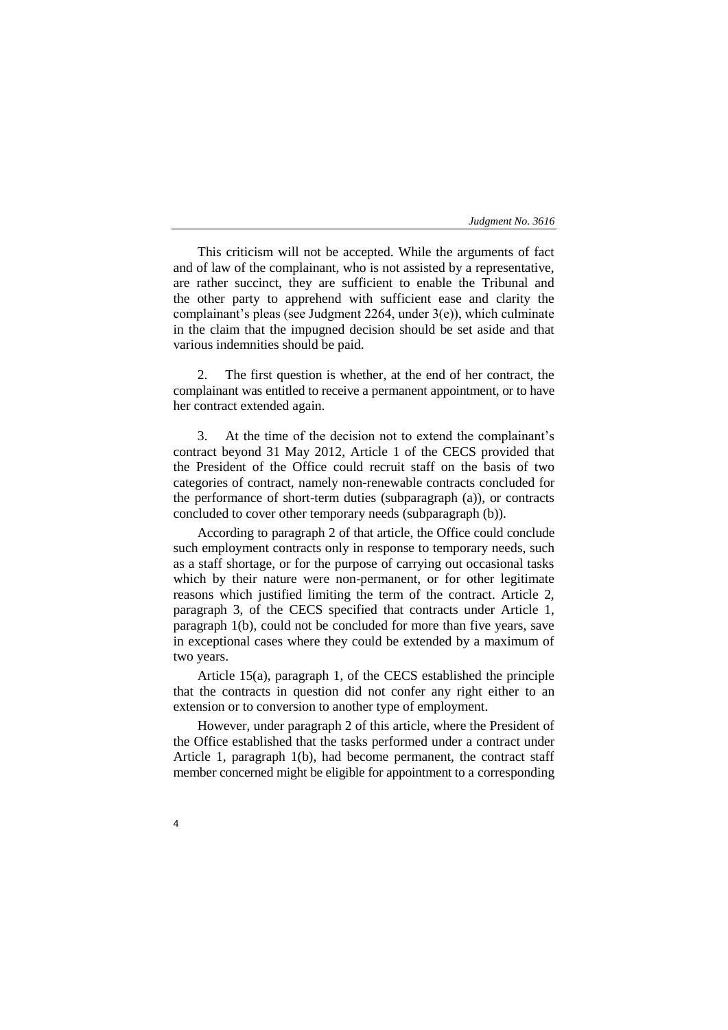This criticism will not be accepted. While the arguments of fact and of law of the complainant, who is not assisted by a representative, are rather succinct, they are sufficient to enable the Tribunal and the other party to apprehend with sufficient ease and clarity the complainant's pleas (see Judgment 2264, under 3(e)), which culminate in the claim that the impugned decision should be set aside and that various indemnities should be paid.

2. The first question is whether, at the end of her contract, the complainant was entitled to receive a permanent appointment, or to have her contract extended again.

3. At the time of the decision not to extend the complainant's contract beyond 31 May 2012, Article 1 of the CECS provided that the President of the Office could recruit staff on the basis of two categories of contract, namely non-renewable contracts concluded for the performance of short-term duties (subparagraph (a)), or contracts concluded to cover other temporary needs (subparagraph (b)).

According to paragraph 2 of that article, the Office could conclude such employment contracts only in response to temporary needs, such as a staff shortage, or for the purpose of carrying out occasional tasks which by their nature were non-permanent, or for other legitimate reasons which justified limiting the term of the contract. Article 2, paragraph 3, of the CECS specified that contracts under Article 1, paragraph 1(b), could not be concluded for more than five years, save in exceptional cases where they could be extended by a maximum of two years.

Article 15(a), paragraph 1, of the CECS established the principle that the contracts in question did not confer any right either to an extension or to conversion to another type of employment.

However, under paragraph 2 of this article, where the President of the Office established that the tasks performed under a contract under Article 1, paragraph 1(b), had become permanent, the contract staff member concerned might be eligible for appointment to a corresponding

4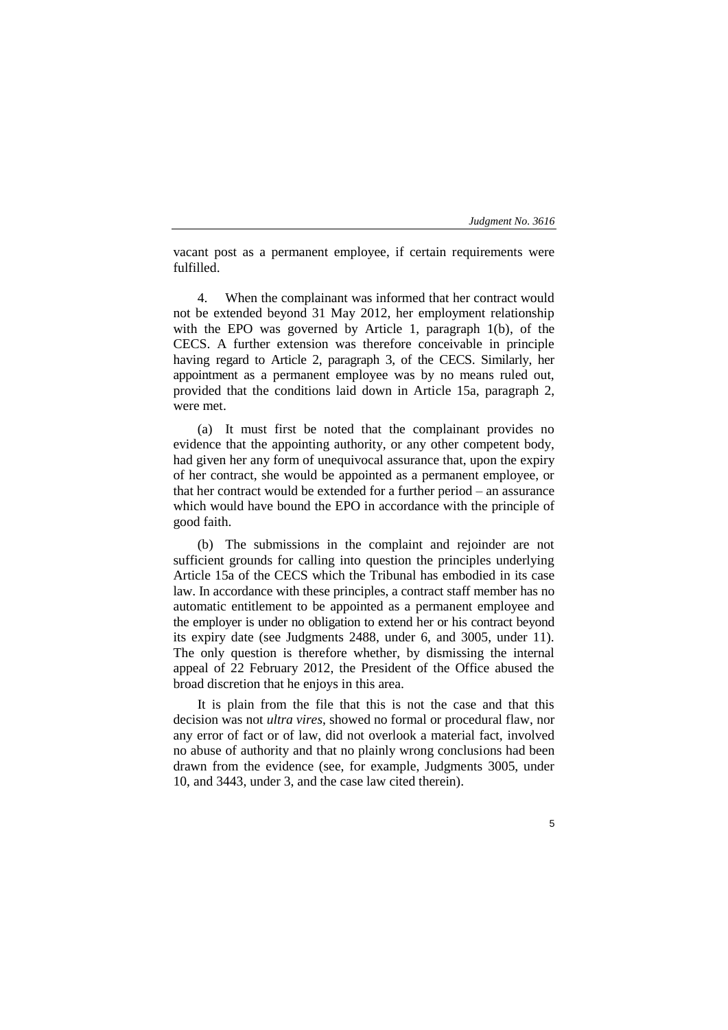vacant post as a permanent employee, if certain requirements were fulfilled.

4. When the complainant was informed that her contract would not be extended beyond 31 May 2012, her employment relationship with the EPO was governed by Article 1, paragraph 1(b), of the CECS. A further extension was therefore conceivable in principle having regard to Article 2, paragraph 3, of the CECS. Similarly, her appointment as a permanent employee was by no means ruled out, provided that the conditions laid down in Article 15a, paragraph 2, were met.

(a) It must first be noted that the complainant provides no evidence that the appointing authority, or any other competent body, had given her any form of unequivocal assurance that, upon the expiry of her contract, she would be appointed as a permanent employee, or that her contract would be extended for a further period – an assurance which would have bound the EPO in accordance with the principle of good faith.

(b) The submissions in the complaint and rejoinder are not sufficient grounds for calling into question the principles underlying Article 15a of the CECS which the Tribunal has embodied in its case law. In accordance with these principles, a contract staff member has no automatic entitlement to be appointed as a permanent employee and the employer is under no obligation to extend her or his contract beyond its expiry date (see Judgments 2488, under 6, and 3005, under 11). The only question is therefore whether, by dismissing the internal appeal of 22 February 2012, the President of the Office abused the broad discretion that he enjoys in this area.

It is plain from the file that this is not the case and that this decision was not *ultra vires*, showed no formal or procedural flaw, nor any error of fact or of law, did not overlook a material fact, involved no abuse of authority and that no plainly wrong conclusions had been drawn from the evidence (see, for example, Judgments 3005, under 10, and 3443, under 3, and the case law cited therein).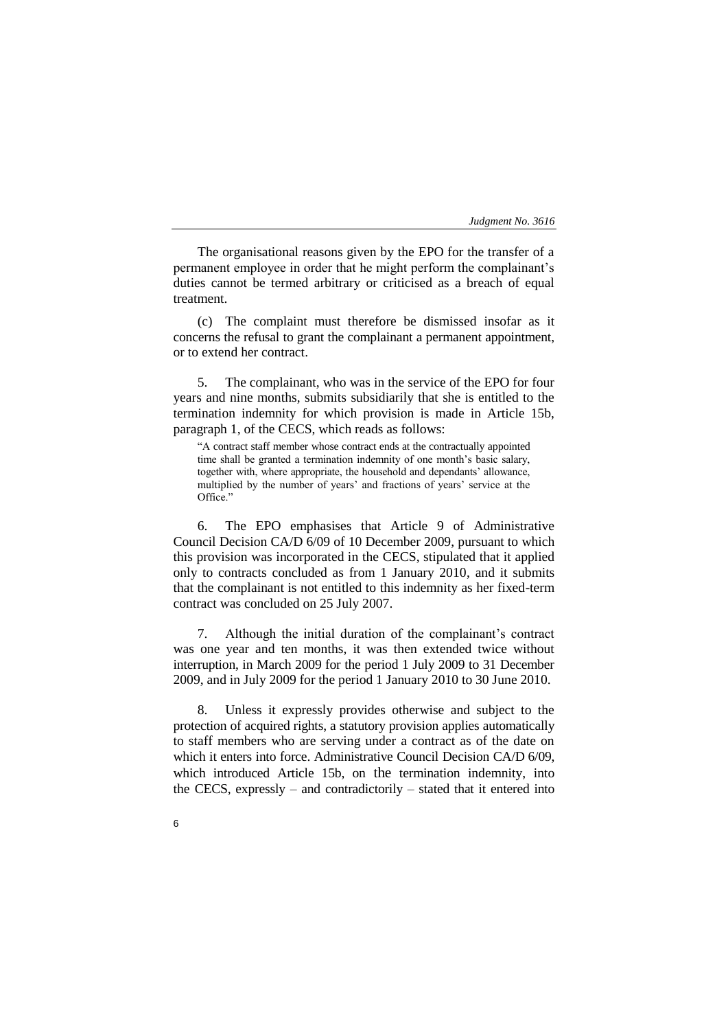The organisational reasons given by the EPO for the transfer of a permanent employee in order that he might perform the complainant's duties cannot be termed arbitrary or criticised as a breach of equal treatment.

(c) The complaint must therefore be dismissed insofar as it concerns the refusal to grant the complainant a permanent appointment, or to extend her contract.

5. The complainant, who was in the service of the EPO for four years and nine months, submits subsidiarily that she is entitled to the termination indemnity for which provision is made in Article 15b, paragraph 1, of the CECS, which reads as follows:

"A contract staff member whose contract ends at the contractually appointed time shall be granted a termination indemnity of one month's basic salary, together with, where appropriate, the household and dependants' allowance, multiplied by the number of years' and fractions of years' service at the Office."

6. The EPO emphasises that Article 9 of Administrative Council Decision CA/D 6/09 of 10 December 2009, pursuant to which this provision was incorporated in the CECS, stipulated that it applied only to contracts concluded as from 1 January 2010, and it submits that the complainant is not entitled to this indemnity as her fixed-term contract was concluded on 25 July 2007.

7. Although the initial duration of the complainant's contract was one year and ten months, it was then extended twice without interruption, in March 2009 for the period 1 July 2009 to 31 December 2009, and in July 2009 for the period 1 January 2010 to 30 June 2010.

Unless it expressly provides otherwise and subject to the protection of acquired rights, a statutory provision applies automatically to staff members who are serving under a contract as of the date on which it enters into force. Administrative Council Decision CA/D 6/09, which introduced Article 15b, on the termination indemnity, into the CECS, expressly – and contradictorily – stated that it entered into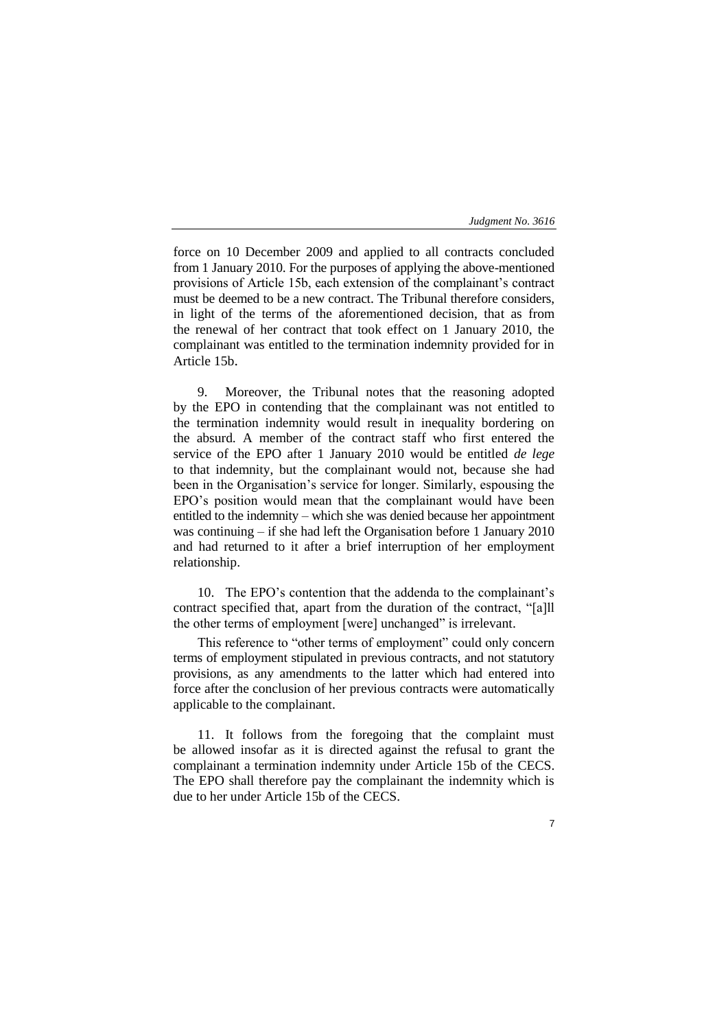7

force on 10 December 2009 and applied to all contracts concluded from 1 January 2010. For the purposes of applying the above-mentioned provisions of Article 15b, each extension of the complainant's contract must be deemed to be a new contract. The Tribunal therefore considers, in light of the terms of the aforementioned decision, that as from the renewal of her contract that took effect on 1 January 2010, the complainant was entitled to the termination indemnity provided for in Article 15b.

9. Moreover, the Tribunal notes that the reasoning adopted by the EPO in contending that the complainant was not entitled to the termination indemnity would result in inequality bordering on the absurd. A member of the contract staff who first entered the service of the EPO after 1 January 2010 would be entitled *de lege* to that indemnity, but the complainant would not, because she had been in the Organisation's service for longer. Similarly, espousing the EPO's position would mean that the complainant would have been entitled to the indemnity – which she was denied because her appointment was continuing – if she had left the Organisation before 1 January 2010 and had returned to it after a brief interruption of her employment relationship.

10. The EPO's contention that the addenda to the complainant's contract specified that, apart from the duration of the contract, "[a]ll the other terms of employment [were] unchanged" is irrelevant.

This reference to "other terms of employment" could only concern terms of employment stipulated in previous contracts, and not statutory provisions, as any amendments to the latter which had entered into force after the conclusion of her previous contracts were automatically applicable to the complainant.

11. It follows from the foregoing that the complaint must be allowed insofar as it is directed against the refusal to grant the complainant a termination indemnity under Article 15b of the CECS. The EPO shall therefore pay the complainant the indemnity which is due to her under Article 15b of the CECS.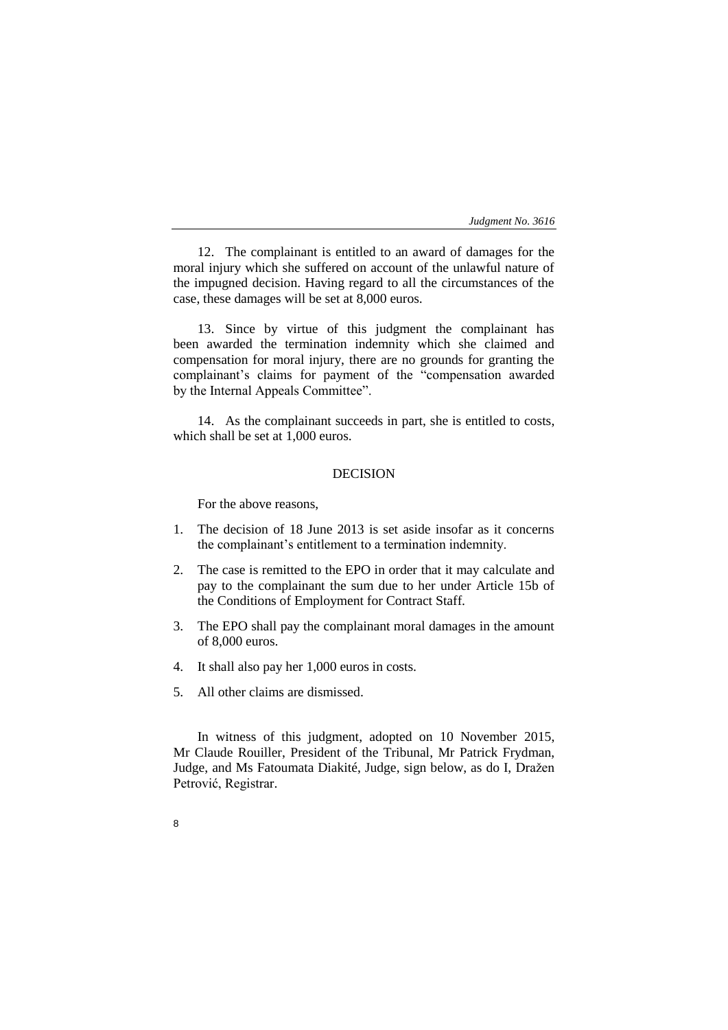12. The complainant is entitled to an award of damages for the moral injury which she suffered on account of the unlawful nature of the impugned decision. Having regard to all the circumstances of the case, these damages will be set at 8,000 euros.

13. Since by virtue of this judgment the complainant has been awarded the termination indemnity which she claimed and compensation for moral injury, there are no grounds for granting the complainant's claims for payment of the "compensation awarded by the Internal Appeals Committee".

14. As the complainant succeeds in part, she is entitled to costs, which shall be set at 1,000 euros.

# DECISION

For the above reasons,

- 1. The decision of 18 June 2013 is set aside insofar as it concerns the complainant's entitlement to a termination indemnity.
- 2. The case is remitted to the EPO in order that it may calculate and pay to the complainant the sum due to her under Article 15b of the Conditions of Employment for Contract Staff.
- 3. The EPO shall pay the complainant moral damages in the amount of 8,000 euros.
- 4. It shall also pay her 1,000 euros in costs.
- 5. All other claims are dismissed.

8

In witness of this judgment, adopted on 10 November 2015, Mr Claude Rouiller, President of the Tribunal, Mr Patrick Frydman, Judge, and Ms Fatoumata Diakité, Judge, sign below, as do I, Dražen Petrović, Registrar.